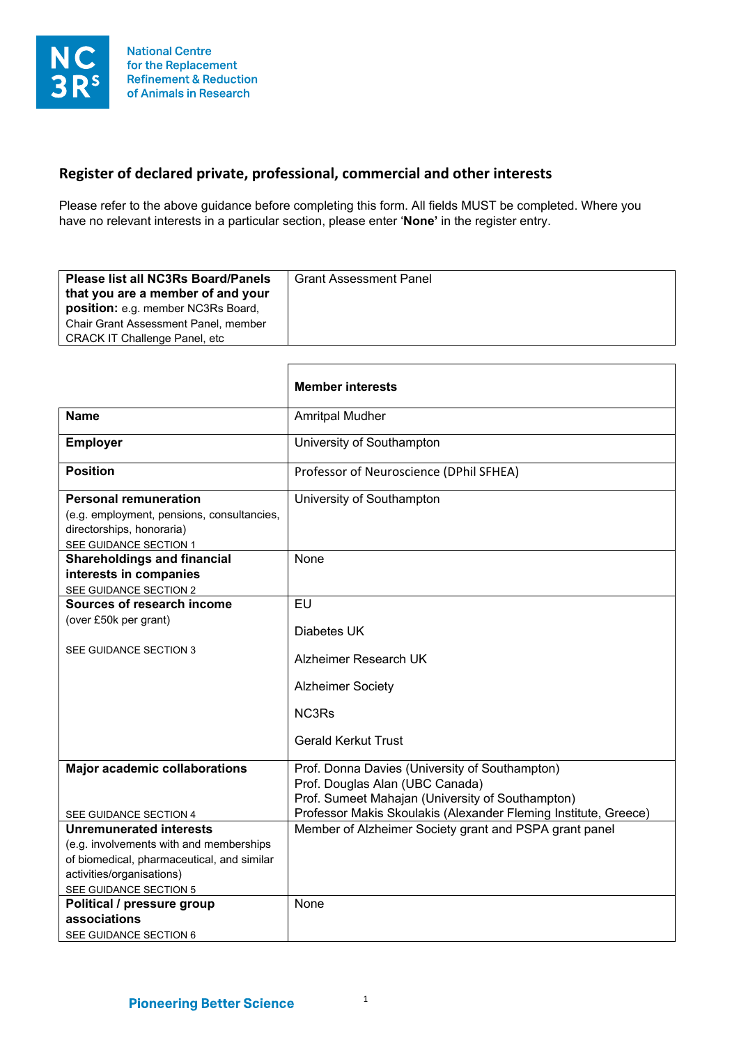## **Register of declared private, professional, commercial and other interests**

П

Please refer to the above guidance before completing this form. All fields MUST be completed. Where you have no relevant interests in a particular section, please enter '**None'** in the register entry.

|                                                                                                                                   | <b>Member interests</b>                                                                                                                                                                                  |
|-----------------------------------------------------------------------------------------------------------------------------------|----------------------------------------------------------------------------------------------------------------------------------------------------------------------------------------------------------|
| <b>Name</b>                                                                                                                       | <b>Amritpal Mudher</b>                                                                                                                                                                                   |
| <b>Employer</b>                                                                                                                   | University of Southampton                                                                                                                                                                                |
| <b>Position</b>                                                                                                                   | Professor of Neuroscience (DPhil SFHEA)                                                                                                                                                                  |
| <b>Personal remuneration</b><br>(e.g. employment, pensions, consultancies,<br>directorships, honoraria)<br>SEE GUIDANCE SECTION 1 | University of Southampton                                                                                                                                                                                |
| <b>Shareholdings and financial</b><br>interests in companies<br>SEE GUIDANCE SECTION 2                                            | None                                                                                                                                                                                                     |
| Sources of research income<br>(over £50k per grant)                                                                               | <b>EU</b><br>Diabetes UK                                                                                                                                                                                 |
| SEE GUIDANCE SECTION 3                                                                                                            | Alzheimer Research UK                                                                                                                                                                                    |
|                                                                                                                                   | <b>Alzheimer Society</b><br>NC3Rs                                                                                                                                                                        |
|                                                                                                                                   | <b>Gerald Kerkut Trust</b>                                                                                                                                                                               |
| <b>Major academic collaborations</b>                                                                                              | Prof. Donna Davies (University of Southampton)<br>Prof. Douglas Alan (UBC Canada)<br>Prof. Sumeet Mahajan (University of Southampton)<br>Professor Makis Skoulakis (Alexander Fleming Institute, Greece) |
| SEE GUIDANCE SECTION 4<br><b>Unremunerated interests</b>                                                                          | Member of Alzheimer Society grant and PSPA grant panel                                                                                                                                                   |
| (e.g. involvements with and memberships                                                                                           |                                                                                                                                                                                                          |
| of biomedical, pharmaceutical, and similar                                                                                        |                                                                                                                                                                                                          |
| activities/organisations)                                                                                                         |                                                                                                                                                                                                          |
| SEE GUIDANCE SECTION 5                                                                                                            |                                                                                                                                                                                                          |
| Political / pressure group                                                                                                        | None                                                                                                                                                                                                     |
| associations                                                                                                                      |                                                                                                                                                                                                          |
| SEE GUIDANCE SECTION 6                                                                                                            |                                                                                                                                                                                                          |